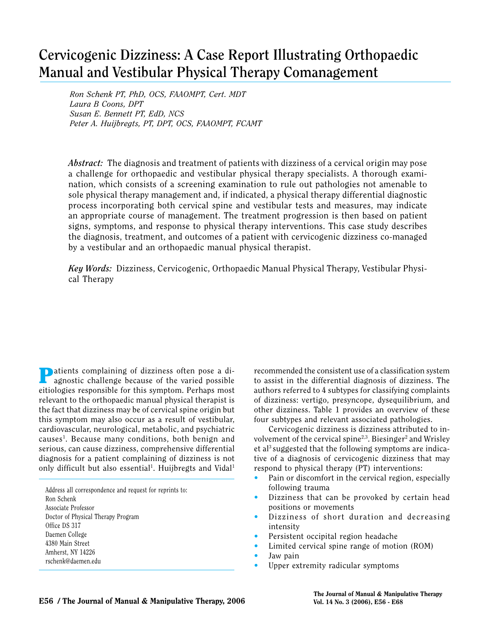# **Cervicogenic Dizziness: A Case Report Illustrating Orthopaedic Manual and Vestibular Physical Therapy Comanagement**

*Ron Schenk PT, PhD, OCS, FAAOMPT, Cert. MDT Laura B Coons, DPT Susan E. Bennett PT, EdD, NCS Peter A. Huijbregts, PT, DPT, OCS, FAAOMPT, FCAMT*

*Abstract:* The diagnosis and treatment of patients with dizziness of a cervical origin may pose a challenge for orthopaedic and vestibular physical therapy specialists. A thorough examination, which consists of a screening examination to rule out pathologies not amenable to sole physical therapy management and, if indicated, a physical therapy differential diagnostic process incorporating both cervical spine and vestibular tests and measures, may indicate an appropriate course of management. The treatment progression is then based on patient signs, symptoms, and response to physical therapy interventions. This case study describes the diagnosis, treatment, and outcomes of a patient with cervicogenic dizziness co-managed by a vestibular and an orthopaedic manual physical therapist.

*Key Words:* Dizziness, Cervicogenic, Orthopaedic Manual Physical Therapy, Vestibular Physical Therapy

Patients complaining of dizziness often pose a diagnostic challenge because of the varied possible eitiologies responsible for this symptom. Perhaps most relevant to the orthopaedic manual physical therapist is the fact that dizziness may be of cervical spine origin but this symptom may also occur as a result of vestibular, cardiovascular, neurological, metabolic, and psychiatric causes<sup>1</sup>. Because many conditions, both benign and serious, can cause dizziness, comprehensive differential diagnosis for a patient complaining of dizziness is not only difficult but also essential<sup>1</sup>. Huijbregts and Vidal<sup>1</sup>

Address all correspondence and request for reprints to: Ron Schenk Associate Professor Doctor of Physical Therapy Program Office DS 317 Daemen College 4380 Main Street Amherst, NY 14226 rschenk@daemen.edu

recommended the consistent use of a classification system to assist in the differential diagnosis of dizziness. The authors referred to 4 subtypes for classifying complaints of dizziness: vertigo, presyncope, dysequilibrium, and other dizziness. Table 1 provides an overview of these four subtypes and relevant associated pathologies.

Cervicogenic dizziness is dizziness attributed to involvement of the cervical spine<sup>2,3</sup>. Biesinger<sup>2</sup> and Wrisley et al<sup>3</sup> suggested that the following symptoms are indicative of a diagnosis of cervicogenic dizziness that may respond to physical therapy (PT) interventions:

- Pain or discomfort in the cervical region, especially following trauma
- Dizziness that can be provoked by certain head positions or movements
- Dizziness of short duration and decreasing intensity
- Persistent occipital region headache
- Limited cervical spine range of motion (ROM)
- Jaw pain
- Upper extremity radicular symptoms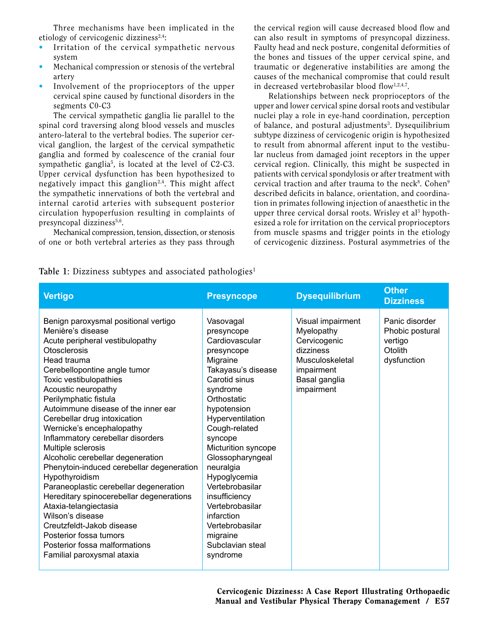Three mechanisms have been implicated in the etiology of cervicogenic dizziness $2,4$ :

- Irritation of the cervical sympathetic nervous system
- Mechanical compression or stenosis of the vertebral artery
- Involvement of the proprioceptors of the upper cervical spine caused by functional disorders in the segments C0-C3

The cervical sympathetic ganglia lie parallel to the spinal cord traversing along blood vessels and muscles antero-lateral to the vertebral bodies. The superior cervical ganglion, the largest of the cervical sympathetic ganglia and formed by coalescence of the cranial four sympathetic ganglia<sup>5</sup>, is located at the level of C2-C3. Upper cervical dysfunction has been hypothesized to negatively impact this ganglion<sup>2,4</sup>. This might affect the sympathetic innervations of both the vertebral and internal carotid arteries with subsequent posterior circulation hypoperfusion resulting in complaints of presyncopal dizziness<sup>5,6</sup>.

Mechanical compression, tension, dissection, or stenosis of one or both vertebral arteries as they pass through the cervical region will cause decreased blood flow and can also result in symptoms of presyncopal dizziness. Faulty head and neck posture, congenital deformities of the bones and tissues of the upper cervical spine, and traumatic or degenerative instabilities are among the causes of the mechanical compromise that could result in decreased vertebrobasilar blood flow $1,2,4,7$ .

Relationships between neck proprioceptors of the upper and lower cervical spine dorsal roots and vestibular nuclei play a role in eye-hand coordination, perception of balance, and postural adjustments<sup>3</sup>. Dysequilibrium subtype dizziness of cervicogenic origin is hypothesized to result from abnormal afferent input to the vestibular nucleus from damaged joint receptors in the upper cervical region. Clinically, this might be suspected in patients with cervical spondylosis or after treatment with cervical traction and after trauma to the neck<sup>8</sup>. Cohen<sup>9</sup> described deficits in balance, orientation, and coordination in primates following injection of anaesthetic in the upper three cervical dorsal roots. Wrisley et al<sup>3</sup> hypothesized a role for irritation on the cervical proprioceptors from muscle spasms and trigger points in the etiology of cervicogenic dizziness. Postural asymmetries of the

| Table 1: Dizziness subtypes and associated pathologies <sup>1</sup> |  |  |  |  |  |  |  |
|---------------------------------------------------------------------|--|--|--|--|--|--|--|
|---------------------------------------------------------------------|--|--|--|--|--|--|--|

| <b>Vertigo</b>                                                                                                                                                                                                                                                                                                                                                                                                                                                                                                                                                                                                                                                                                                                                                           | <b>Presyncope</b>                                                                                                                                                                                                                                                                                                                                                                                                | <b>Dysequilibrium</b>                                                                                                        | <b>Other</b><br><b>Dizziness</b>                                       |
|--------------------------------------------------------------------------------------------------------------------------------------------------------------------------------------------------------------------------------------------------------------------------------------------------------------------------------------------------------------------------------------------------------------------------------------------------------------------------------------------------------------------------------------------------------------------------------------------------------------------------------------------------------------------------------------------------------------------------------------------------------------------------|------------------------------------------------------------------------------------------------------------------------------------------------------------------------------------------------------------------------------------------------------------------------------------------------------------------------------------------------------------------------------------------------------------------|------------------------------------------------------------------------------------------------------------------------------|------------------------------------------------------------------------|
| Benign paroxysmal positional vertigo<br>Menière's disease<br>Acute peripheral vestibulopathy<br><b>Otosclerosis</b><br>Head trauma<br>Cerebellopontine angle tumor<br>Toxic vestibulopathies<br>Acoustic neuropathy<br>Perilymphatic fistula<br>Autoimmune disease of the inner ear<br>Cerebellar drug intoxication<br>Wernicke's encephalopathy<br>Inflammatory cerebellar disorders<br>Multiple sclerosis<br>Alcoholic cerebellar degeneration<br>Phenytoin-induced cerebellar degeneration<br>Hypothyroidism<br>Paraneoplastic cerebellar degeneration<br>Hereditary spinocerebellar degenerations<br>Ataxia-telangiectasia<br>Wilson's disease<br>Creutzfeldt-Jakob disease<br>Posterior fossa tumors<br>Posterior fossa malformations<br>Familial paroxysmal ataxia | Vasovagal<br>presyncope<br>Cardiovascular<br>presyncope<br>Migraine<br>Takayasu's disease<br>Carotid sinus<br>syndrome<br>Orthostatic<br>hypotension<br>Hyperventilation<br>Cough-related<br>syncope<br>Micturition syncope<br>Glossopharyngeal<br>neuralgia<br>Hypoglycemia<br>Vertebrobasilar<br>insufficiency<br>Vertebrobasilar<br>infarction<br>Vertebrobasilar<br>migraine<br>Subclavian steal<br>syndrome | Visual impairment<br>Myelopathy<br>Cervicogenic<br>dizziness<br>Musculoskeletal<br>impairment<br>Basal ganglia<br>impairment | Panic disorder<br>Phobic postural<br>vertigo<br>Otolith<br>dysfunction |

Cervicogenic Dizziness: A Case Report Illustrating Orthopaedic Manual and Vestibular Physical Therapy Comanagement / E57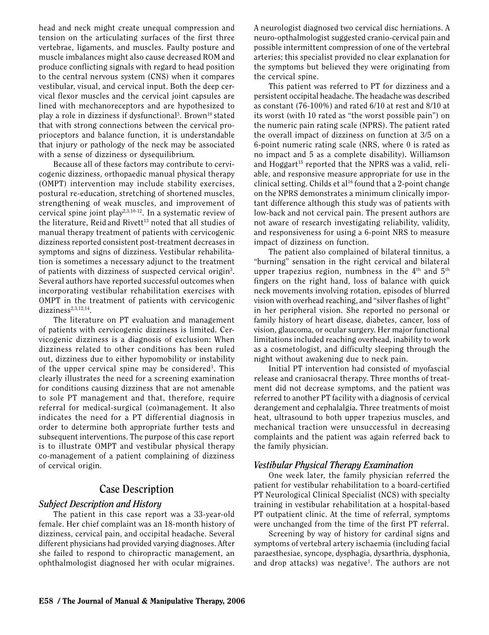head and neck might create unequal compression and tension on the articulating surfaces of the first three vertebrae, ligaments, and muscles. Faulty posture and muscle imbalances might also cause decreased ROM and produce conflicting signals with regard to head position to the central nervous system (CNS) when it compares vestibular, visual, and cervical input. Both the deep cervical flexor muscles and the cervical joint capsules are lined with mechanoreceptors and are hypothesized to play a role in dizziness if dysfunctional<sup>3</sup>. Brown<sup>10</sup> stated that with strong connections between the cervical proprioceptors and balance function, it is understandable that injury or pathology of the neck may be associated with a sense of dizziness or dysequilibrium*.*

Because all of these factors may contribute to cervicogenic dizziness, orthopaedic manual physical therapy (OMPT) intervention may include stability exercises, postural re-education, stretching of shortened muscles, strengthening of weak muscles, and improvement of cervical spine joint play2,3,10-12. In a systematic review of the literature, Reid and Rivett<sup>13</sup> noted that all studies of manual therapy treatment of patients with cervicogenic dizziness reported consistent post-treatment decreases in symptoms and signs of dizziness. Vestibular rehabilitation is sometimes a necessary adjunct to the treatment of patients with dizziness of suspected cervical origin<sup>3</sup>. Several authors have reported successful outcomes when incorporating vestibular rehabilitation exercises with OMPT in the treatment of patients with cervicogenic dizziness<sup>2,3,12,14</sup>.

The literature on PT evaluation and management of patients with cervicogenic dizziness is limited. Cervicogenic dizziness is a diagnosis of exclusion: When dizziness related to other conditions has been ruled out, dizziness due to either hypomobility or instability of the upper cervical spine may be considered<sup>1</sup>. This clearly illustrates the need for a screening examination for conditions causing dizziness that are not amenable to sole PT management and that, therefore, require referral for medical-surgical (co)management. It also indicates the need for a PT differential diagnosis in order to determine both appropriate further tests and subsequent interventions. The purpose of this case report is to illustrate OMPT and vestibular physical therapy co-management of a patient complaining of dizziness of cervical origin.

## **Case Description**

#### *Subject Description and History*

The patient in this case report was a 33-year-old female. Her chief complaint was an 18-month history of dizziness, cervical pain, and occipital headache. Several different physicians had provided varying diagnoses. After she failed to respond to chiropractic management, an ophthalmologist diagnosed her with ocular migraines.

A neurologist diagnosed two cervical disc herniations. A neuro-opthalmologist suggested cranio-cervical pain and possible intermittent compression of one of the vertebral arteries; this specialist provided no clear explanation for the symptoms but believed they were originating from the cervical spine.

This patient was referred to PT for dizziness and a persistent occipital headache. The headache was described as constant (76-100%) and rated 6/10 at rest and 8/10 at its worst (with 10 rated as "the worst possible pain") on the numeric pain rating scale (NPRS). The patient rated the overall impact of dizziness on function at 3/5 on a 6-point numeric rating scale (NRS, where 0 is rated as no impact and 5 as a complete disability). Williamson and Hoggart<sup>15</sup> reported that the NPRS was a valid, reliable, and responsive measure appropriate for use in the clinical setting. Childs et al<sup>16</sup> found that a 2-point change on the NPRS demonstrates a minimum clinically important difference although this study was of patients with low-back and not cervical pain. The present authors are not aware of research investigating reliability, validity, and responsiveness for using a 6-point NRS to measure impact of dizziness on function.

The patient also complained of bilateral tinnitus, a "burning" sensation in the right cervical and bilateral upper trapezius region, numbness in the  $4<sup>th</sup>$  and  $5<sup>th</sup>$ fingers on the right hand, loss of balance with quick neck movements involving rotation, episodes of blurred vision with overhead reaching, and "silver flashes of light" in her peripheral vision. She reported no personal or family history of heart disease, diabetes, cancer, loss of vision, glaucoma, or ocular surgery. Her major functional limitations included reaching overhead, inability to work as a cosmetologist, and difficulty sleeping through the night without awakening due to neck pain.

Initial PT intervention had consisted of myofascial release and craniosacral therapy. Three months of treatment did not decrease symptoms, and the patient was referred to another PT facility with a diagnosis of cervical derangement and cephalalgia. Three treatments of moist heat, ultrasound to both upper trapezius muscles, and mechanical traction were unsuccessful in decreasing complaints and the patient was again referred back to the family physician.

#### *Vestibular Physical Therapy Examination*

One week later, the family physician referred the patient for vestibular rehabilitation to a board-certified PT Neurological Clinical Specialist (NCS) with specialty training in vestibular rehabilitation at a hospital-based PT outpatient clinic. At the time of referral, symptoms were unchanged from the time of the first PT referral.

Screening by way of history for cardinal signs and symptoms of vertebral artery ischaemia (including facial paraesthesiae, syncope, dysphagia, dysarthria, dysphonia, and drop attacks) was negative<sup>1</sup>. The authors are not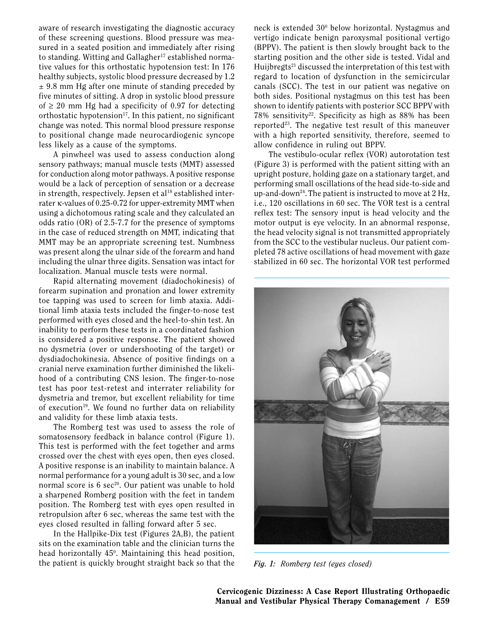aware of research investigating the diagnostic accuracy of these screening questions. Blood pressure was measured in a seated position and immediately after rising to standing. Witting and Gallagher<sup>17</sup> established normative values for this orthostatic hypotension test: In 176 healthy subjects, systolic blood pressure decreased by 1.2 ± 9.8 mm Hg after one minute of standing preceded by five minutes of sitting. A drop in systolic blood pressure of  $\geq 20$  mm Hg had a specificity of 0.97 for detecting orthostatic hypotension<sup>17</sup>. In this patient, no significant change was noted. This normal blood pressure response to positional change made neurocardiogenic syncope less likely as a cause of the symptoms.

A pinwheel was used to assess conduction along sensory pathways; manual muscle tests (MMT) assessed for conduction along motor pathways. A positive response would be a lack of perception of sensation or a decrease in strength, respectively. Jepsen et al<sup>18</sup> established interrater κ-values of 0.25-0.72 for upper-extremity MMT when using a dichotomous rating scale and they calculated an odds ratio (OR) of 2.5-7.7 for the presence of symptoms in the case of reduced strength on MMT, indicating that MMT may be an appropriate screening test. Numbness was present along the ulnar side of the forearm and hand including the ulnar three digits. Sensation was intact for localization. Manual muscle tests were normal.

Rapid alternating movement (diadochokinesis) of forearm supination and pronation and lower extremity toe tapping was used to screen for limb ataxia. Additional limb ataxia tests included the finger-to-nose test performed with eyes closed and the heel-to-shin test. An inability to perform these tests in a coordinated fashion is considered a positive response. The patient showed no dysmetria (over or undershooting of the target) or dysdiadochokinesia. Absence of positive findings on a cranial nerve examination further diminished the likelihood of a contributing CNS lesion. The finger-to-nose test has poor test-retest and interrater reliability for dysmetria and tremor, but excellent reliability for time of execution<sup>19</sup>. We found no further data on reliability and validity for these limb ataxia tests.

The Romberg test was used to assess the role of somatosensory feedback in balance control (Figure 1). This test is performed with the feet together and arms crossed over the chest with eyes open, then eyes closed. A positive response is an inability to maintain balance. A normal performance for a young adult is 30 sec, and a low normal score is  $6 \text{ sec}^{20}$ . Our patient was unable to hold a sharpened Romberg position with the feet in tandem position. The Romberg test with eyes open resulted in retropulsion after 6 sec, whereas the same test with the eyes closed resulted in falling forward after 5 sec.

In the Hallpike-Dix test (Figures 2A,B), the patient sits on the examination table and the clinician turns the head horizontally 45<sup>°</sup>. Maintaining this head position, the patient is quickly brought straight back so that the

neck is extended 30<sup>°</sup> below horizontal. Nystagmus and vertigo indicate benign paroxysmal positional vertigo (BPPV). The patient is then slowly brought back to the starting position and the other side is tested. Vidal and Huijbregts<sup>21</sup> discussed the interpretation of this test with regard to location of dysfunction in the semicircular canals (SCC). The test in our patient was negative on both sides. Positional nystagmus on this test has been shown to identify patients with posterior SCC BPPV with  $78\%$  sensitivity<sup>22</sup>. Specificity as high as  $88\%$  has been reported<sup>23</sup>. The negative test result of this maneuver with a high reported sensitivity, therefore, seemed to allow confidence in ruling out BPPV.

The vestibulo-ocular reflex (VOR) autorotation test (Figure 3) is performed with the patient sitting with an upright posture, holding gaze on a stationary target, and performing small oscillations of the head side-to-side and up-and-down<sup>24</sup>. The patient is instructed to move at  $2$  Hz, i.e., 120 oscillations in 60 sec. The VOR test is a central reflex test: The sensory input is head velocity and the motor output is eye velocity. In an abnormal response, the head velocity signal is not transmitted appropriately from the SCC to the vestibular nucleus. Our patient completed 78 active oscillations of head movement with gaze stabilized in 60 sec. The horizontal VOR test performed



*Fig. 1: Romberg test (eyes closed)*

Cervicogenic Dizziness: A Case Report Illustrating Orthopaedic Manual and Vestibular Physical Therapy Comanagement / E59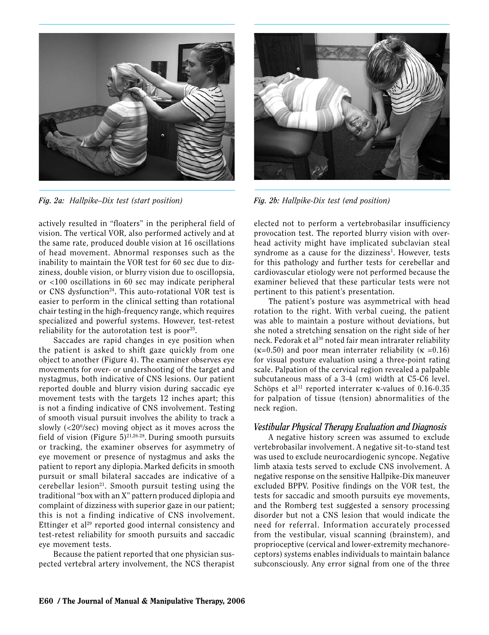

*Fig. 2a: Hallpike–Dix test (start position) Fig. 2b: Hallpike-Dix test (end position)*

actively resulted in "floaters" in the peripheral field of vision. The vertical VOR, also performed actively and at the same rate, produced double vision at 16 oscillations of head movement. Abnormal responses such as the inability to maintain the VOR test for 60 sec due to dizziness, double vision, or blurry vision due to oscillopsia, or <100 oscillations in 60 sec may indicate peripheral or CNS dysfunction<sup>24</sup>. This auto-rotational VOR test is easier to perform in the clinical setting than rotational chair testing in the high-frequency range, which requires specialized and powerful systems. However, test-retest reliability for the autorotation test is poor<sup>25</sup>.

Saccades are rapid changes in eye position when the patient is asked to shift gaze quickly from one object to another (Figure 4). The examiner observes eye movements for over- or undershooting of the target and nystagmus, both indicative of CNS lesions. Our patient reported double and blurry vision during saccadic eye movement tests with the targets 12 inches apart; this is not a finding indicative of CNS involvement. Testing of smooth visual pursuit involves the ability to track a slowly  $\left( \langle 20^\circ \rangle \langle \langle \rangle \rangle \right)$  moving object as it moves across the field of vision (Figure  $5)^{21,26-28}$ . During smooth pursuits or tracking, the examiner observes for asymmetry of eye movement or presence of nystagmus and asks the patient to report any diplopia. Marked deficits in smooth pursuit or small bilateral saccades are indicative of a cerebellar lesion<sup>21</sup>. Smooth pursuit testing using the traditional "box with an X" pattern produced diplopia and complaint of dizziness with superior gaze in our patient; this is not a finding indicative of CNS involvement. Ettinger et al<sup>29</sup> reported good internal consistency and test-retest reliability for smooth pursuits and saccadic eye movement tests.

Because the patient reported that one physician suspected vertebral artery involvement, the NCS therapist



elected not to perform a vertebrobasilar insufficiency provocation test. The reported blurry vision with overhead activity might have implicated subclavian steal syndrome as a cause for the dizziness<sup>1</sup>. However, tests for this pathology and further tests for cerebellar and cardiovascular etiology were not performed because the examiner believed that these particular tests were not pertinent to this patient's presentation.

The patient's posture was asymmetrical with head rotation to the right. With verbal cueing, the patient was able to maintain a posture without deviations, but she noted a stretching sensation on the right side of her neck. Fedorak et al<sup>30</sup> noted fair mean intrarater reliability ( $\kappa$ =0.50) and poor mean interrater reliability ( $\kappa$  =0.16) for visual posture evaluation using a three-point rating scale. Palpation of the cervical region revealed a palpable subcutaneous mass of a 3-4 (cm) width at C5-C6 level. Schöps et al<sup>31</sup> reported interrater κ-values of 0.16-0.35 for palpation of tissue (tension) abnormalities of the neck region.

## *Vestibular Physical Therapy Evaluation and Diagnosis*

A negative history screen was assumed to exclude vertebrobasilar involvement. A negative sit-to-stand test was used to exclude neurocardiogenic syncope. Negative limb ataxia tests served to exclude CNS involvement. A negative response on the sensitive Hallpike-Dix maneuver excluded BPPV. Positive findings on the VOR test, the tests for saccadic and smooth pursuits eye movements, and the Romberg test suggested a sensory processing disorder but not a CNS lesion that would indicate the need for referral. Information accurately processed from the vestibular, visual scanning (brainstem), and proprioceptive (cervical and lower-extremity mechanoreceptors) systems enables individuals to maintain balance subconsciously. Any error signal from one of the three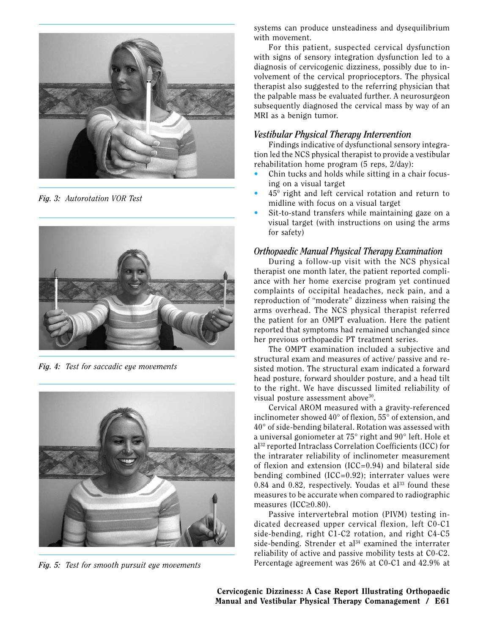

*Fig. 3: Autorotation VOR Test*



*Fig. 4: Test for saccadic eye movements*



*Fig. 5: Test for smooth pursuit eye movements*

systems can produce unsteadiness and dysequilibrium with movement.

For this patient, suspected cervical dysfunction with signs of sensory integration dysfunction led to a diagnosis of cervicogenic dizziness, possibly due to involvement of the cervical proprioceptors. The physical therapist also suggested to the referring physician that the palpable mass be evaluated further. A neurosurgeon subsequently diagnosed the cervical mass by way of an MRI as a benign tumor.

# *Vestibular Physical Therapy Intervention*

Findings indicative of dysfunctional sensory integration led the NCS physical therapist to provide a vestibular rehabilitation home program (5 reps, 2/day):

- Chin tucks and holds while sitting in a chair focusing on a visual target
- $\bullet$  45<sup>0</sup> right and left cervical rotation and return to midline with focus on a visual target
- Sit-to-stand transfers while maintaining gaze on a visual target (with instructions on using the arms for safety)

## *Orthopaedic Manual Physical Therapy Examination*

During a follow-up visit with the NCS physical therapist one month later, the patient reported compliance with her home exercise program yet continued complaints of occipital headaches, neck pain, and a reproduction of "moderate" dizziness when raising the arms overhead. The NCS physical therapist referred the patient for an OMPT evaluation. Here the patient reported that symptoms had remained unchanged since her previous orthopaedic PT treatment series.

The OMPT examination included a subjective and structural exam and measures of active/ passive and resisted motion. The structural exam indicated a forward head posture, forward shoulder posture, and a head tilt to the right. We have discussed limited reliability of visual posture assessment above<sup>30</sup>.

Cervical AROM measured with a gravity-referenced inclinometer showed 40° of flexion, 55° of extension, and 40° of side-bending bilateral. Rotation was assessed with a universal goniometer at 75° right and 90° left. Hole et al32 reported Intraclass Correlation Coefficients (ICC) for the intrarater reliability of inclinometer measurement of flexion and extension (ICC=0.94) and bilateral side bending combined (ICC=0.92); interrater values were  $0.84$  and  $0.82$ , respectively. Youdas et al<sup>33</sup> found these measures to be accurate when compared to radiographic measures (ICC≥0.80).

Passive intervertebral motion (PIVM) testing indicated decreased upper cervical flexion, left C0-C1 side-bending, right C1-C2 rotation, and right C4-C5 side-bending. Strender et al $34$  examined the interrater reliability of active and passive mobility tests at C0-C2. Percentage agreement was 26% at C0-C1 and 42.9% at

Cervicogenic Dizziness: A Case Report Illustrating Orthopaedic Manual and Vestibular Physical Therapy Comanagement / E61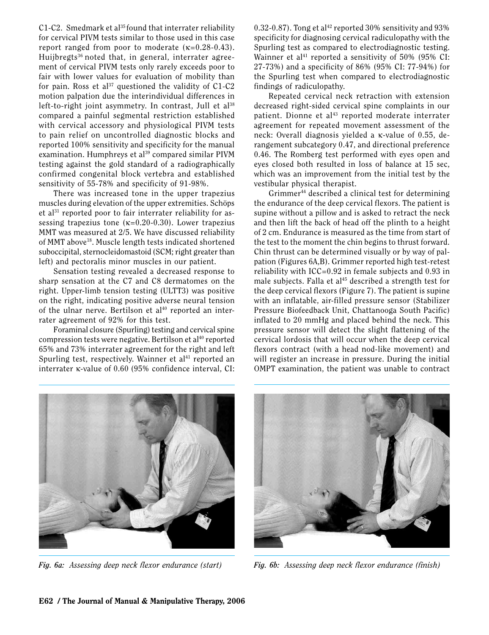$C1-C2.$  Smedmark et al<sup>35</sup> found that interrater reliability for cervical PIVM tests similar to those used in this case report ranged from poor to moderate  $(\kappa=0.28-0.43)$ . Huijbregts<sup>36</sup> noted that, in general, interrater agreement of cervical PIVM tests only rarely exceeds poor to fair with lower values for evaluation of mobility than for pain. Ross et al<sup>37</sup> questioned the validity of  $C1-C2$ motion palpation due the interindividual differences in left-to-right joint asymmetry. In contrast, Jull et  $a^{138}$ compared a painful segmental restriction established with cervical accessory and physiological PIVM tests to pain relief on uncontrolled diagnostic blocks and reported 100% sensitivity and specificity for the manual examination. Humphreys et al<sup>39</sup> compared similar PIVM testing against the gold standard of a radiographically confirmed congenital block vertebra and established sensitivity of 55-78% and specificity of 91-98%.

There was increased tone in the upper trapezius muscles during elevation of the upper extremities. Schöps et al<sup>31</sup> reported poor to fair interrater reliability for assessing trapezius tone ( $\kappa$ =0.20-0.30). Lower trapezius MMT was measured at 2/5. We have discussed reliability of MMT above18. Muscle length tests indicated shortened suboccipital, sternocleidomastoid (SCM; right greater than left) and pectoralis minor muscles in our patient.

Sensation testing revealed a decreased response to sharp sensation at the C7 and C8 dermatomes on the right. Upper-limb tension testing (ULTT3) was positive on the right, indicating positive adverse neural tension of the ulnar nerve. Bertilson et al $40$  reported an interrater agreement of 92% for this test.

Foraminal closure (Spurling) testing and cervical spine compression tests were negative. Bertilson et al<sup>40</sup> reported 65% and 73% interrater agreement for the right and left Spurling test, respectively. Wainner et al<sup>41</sup> reported an interrater κ-value of 0.60 (95% confidence interval, CI: 0.32-0.87). Tong et al<sup>42</sup> reported 30% sensitivity and 93% specificity for diagnosing cervical radiculopathy with the Spurling test as compared to electrodiagnostic testing. Wainner et al<sup>41</sup> reported a sensitivity of  $50\%$  ( $95\%$  CI: 27-73%) and a specificity of 86% (95% CI: 77-94%) for the Spurling test when compared to electrodiagnostic findings of radiculopathy.

Repeated cervical neck retraction with extension decreased right-sided cervical spine complaints in our patient. Dionne et al<sup>43</sup> reported moderate interrater agreement for repeated movement assessment of the neck: Overall diagnosis yielded a κ-value of 0.55, derangement subcategory 0.47, and directional preference 0.46. The Romberg test performed with eyes open and eyes closed both resulted in loss of balance at 15 sec, which was an improvement from the initial test by the vestibular physical therapist.

Grimmer44 described a clinical test for determining the endurance of the deep cervical flexors. The patient is supine without a pillow and is asked to retract the neck and then lift the back of head off the plinth to a height of 2 cm. Endurance is measured as the time from start of the test to the moment the chin begins to thrust forward. Chin thrust can be determined visually or by way of palpation (Figures 6A,B). Grimmer reported high test-retest reliability with ICC=0.92 in female subjects and 0.93 in male subjects. Falla et al<sup>45</sup> described a strength test for the deep cervical flexors (Figure 7). The patient is supine with an inflatable, air-filled pressure sensor (Stabilizer Pressure Biofeedback Unit, Chattanooga South Pacific) inflated to 20 mmHg and placed behind the neck. This pressure sensor will detect the slight flattening of the cervical lordosis that will occur when the deep cervical flexors contract (with a head nod-like movement) and will register an increase in pressure. During the initial OMPT examination, the patient was unable to contract





*Fig. 6a: Assessing deep neck flexor endurance (start) Fig. 6b: Assessing deep neck flexor endurance (finish)*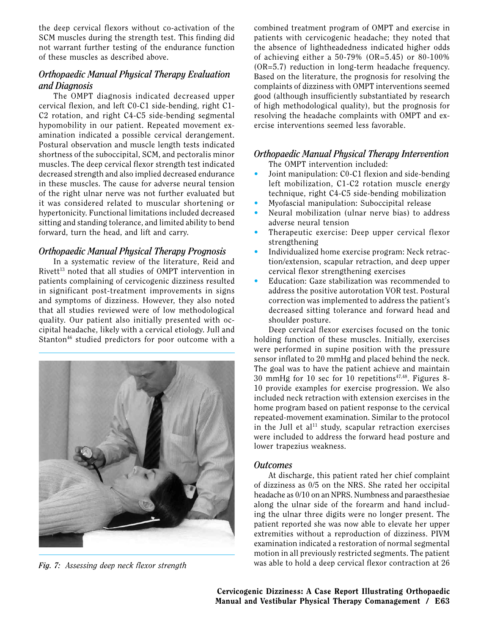the deep cervical flexors without co-activation of the SCM muscles during the strength test. This finding did not warrant further testing of the endurance function of these muscles as described above.

## *Orthopaedic Manual Physical Therapy Evaluation and Diagnosis*

The OMPT diagnosis indicated decreased upper cervical flexion, and left C0-C1 side-bending, right C1- C2 rotation, and right C4-C5 side-bending segmental hypomobility in our patient. Repeated movement examination indicated a possible cervical derangement. Postural observation and muscle length tests indicated shortness of the suboccipital, SCM, and pectoralis minor muscles. The deep cervical flexor strength test indicated decreased strength and also implied decreased endurance in these muscles. The cause for adverse neural tension of the right ulnar nerve was not further evaluated but it was considered related to muscular shortening or hypertonicity. Functional limitations included decreased sitting and standing tolerance, and limited ability to bend forward, turn the head, and lift and carry.

#### *Orthopaedic Manual Physical Therapy Prognosis*

In a systematic review of the literature, Reid and Rivett<sup>13</sup> noted that all studies of OMPT intervention in patients complaining of cervicogenic dizziness resulted in significant post-treatment improvements in signs and symptoms of dizziness. However, they also noted that all studies reviewed were of low methodological quality. Our patient also initially presented with occipital headache, likely with a cervical etiology. Jull and Stanton<sup>46</sup> studied predictors for poor outcome with a



combined treatment program of OMPT and exercise in patients with cervicogenic headache; they noted that the absence of lightheadedness indicated higher odds of achieving either a 50-79% (OR=5.45) or 80-100% (OR=5.7) reduction in long-term headache frequency. Based on the literature, the prognosis for resolving the complaints of dizziness with OMPT interventions seemed good (although insufficiently substantiated by research of high methodological quality), but the prognosis for resolving the headache complaints with OMPT and exercise interventions seemed less favorable.

## *Orthopaedic Manual Physical Therapy Intervention* The OMPT intervention included:

- Joint manipulation: C0-C1 flexion and side-bending left mobilization, C1-C2 rotation muscle energy technique, right C4-C5 side-bending mobilization
- Myofascial manipulation: Suboccipital release
- Neural mobilization (ulnar nerve bias) to address adverse neural tension
- Therapeutic exercise: Deep upper cervical flexor strengthening
- Individualized home exercise program: Neck retraction/extension, scapular retraction, and deep upper cervical flexor strengthening exercises
- Education: Gaze stabilization was recommended to address the positive autorotation VOR test. Postural correction was implemented to address the patient's decreased sitting tolerance and forward head and shoulder posture.

Deep cervical flexor exercises focused on the tonic holding function of these muscles. Initially, exercises were performed in supine position with the pressure sensor inflated to 20 mmHg and placed behind the neck. The goal was to have the patient achieve and maintain 30 mmHg for 10 sec for 10 repetitions $47,48$ . Figures 8-10 provide examples for exercise progression. We also included neck retraction with extension exercises in the home program based on patient response to the cervical repeated-movement examination. Similar to the protocol in the Jull et al<sup>11</sup> study, scapular retraction exercises were included to address the forward head posture and lower trapezius weakness.

#### *Outcomes*

At discharge, this patient rated her chief complaint of dizziness as 0/5 on the NRS. She rated her occipital headache as 0/10 on an NPRS. Numbness and paraesthesiae along the ulnar side of the forearm and hand including the ulnar three digits were no longer present. The patient reported she was now able to elevate her upper extremities without a reproduction of dizziness. PIVM examination indicated a restoration of normal segmental motion in all previously restricted segments. The patient *Fig. 7:* Assessing deep neck flexor strength was able to hold a deep cervical flexor contraction at 26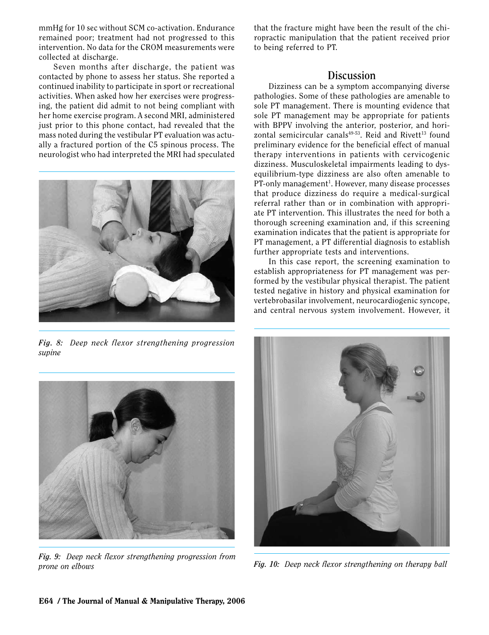mmHg for 10 sec without SCM co-activation. Endurance remained poor; treatment had not progressed to this intervention. No data for the CROM measurements were collected at discharge.

Seven months after discharge, the patient was contacted by phone to assess her status. She reported a continued inability to participate in sport or recreational activities. When asked how her exercises were progressing, the patient did admit to not being compliant with her home exercise program. A second MRI, administered just prior to this phone contact, had revealed that the mass noted during the vestibular PT evaluation was actually a fractured portion of the C5 spinous process. The neurologist who had interpreted the MRI had speculated



*Fig. 8: Deep neck flexor strengthening progression supine*

that the fracture might have been the result of the chiropractic manipulation that the patient received prior to being referred to PT.

## **Discussion**

Dizziness can be a symptom accompanying diverse pathologies. Some of these pathologies are amenable to sole PT management. There is mounting evidence that sole PT management may be appropriate for patients with BPPV involving the anterior, posterior, and horizontal semicircular canals $49-53$ . Reid and Rivett<sup>13</sup> found preliminary evidence for the beneficial effect of manual therapy interventions in patients with cervicogenic dizziness. Musculoskeletal impairments leading to dysequilibrium-type dizziness are also often amenable to PT-only management<sup>1</sup>. However, many disease processes that produce dizziness do require a medical-surgical referral rather than or in combination with appropriate PT intervention. This illustrates the need for both a thorough screening examination and, if this screening examination indicates that the patient is appropriate for PT management, a PT differential diagnosis to establish further appropriate tests and interventions.

In this case report, the screening examination to establish appropriateness for PT management was performed by the vestibular physical therapist. The patient tested negative in history and physical examination for vertebrobasilar involvement, neurocardiogenic syncope, and central nervous system involvement. However, it



*Fig. 9: Deep neck flexor strengthening progression from prone on elbows Fig. 10: Deep neck flexor strengthening on therapy ball*

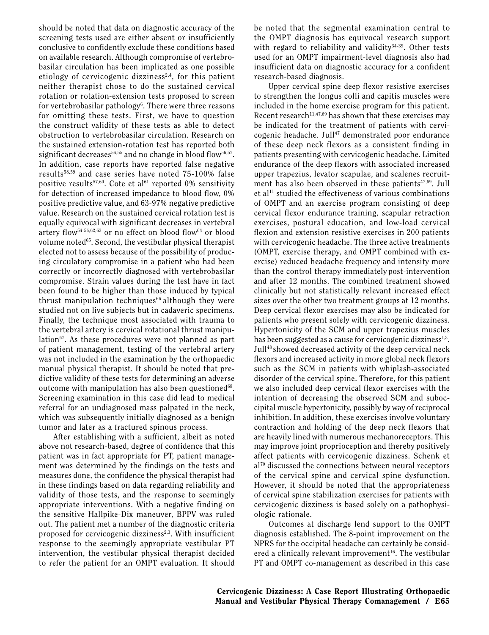should be noted that data on diagnostic accuracy of the screening tests used are either absent or insufficiently conclusive to confidently exclude these conditions based on available research. Although compromise of vertebrobasilar circulation has been implicated as one possible etiology of cervicogenic dizziness<sup>2,4</sup>, for this patient neither therapist chose to do the sustained cervical rotation or rotation-extension tests proposed to screen for vertebrobasilar pathology<sup>6</sup>. There were three reasons for omitting these tests. First, we have to question the construct validity of these tests as able to detect obstruction to vertebrobasilar circulation. Research on the sustained extension-rotation test has reported both significant decreases $54,55$  and no change in blood flow $56,57$ . In addition, case reports have reported false negative results58,59 and case series have noted 75-100% false positive results<sup>57,60</sup>. Cote et al<sup>61</sup> reported 0% sensitivity for detection of increased impedance to blood flow, 0% positive predictive value, and 63-97% negative predictive value. Research on the sustained cervical rotation test is equally equivocal with significant decreases in vertebral artery flow54-56,62,63 or no effect on blood flow64 or blood volume noted<sup>65</sup>. Second, the vestibular physical therapist elected not to assess because of the possibility of producing circulatory compromise in a patient who had been correctly or incorrectly diagnosed with vertebrobasilar compromise. Strain values during the test have in fact been found to be higher than those induced by typical thrust manipulation techniques $66$  although they were studied not on live subjects but in cadaveric specimens. Finally, the technique most associated with trauma to the vertebral artery is cervical rotational thrust manipulation<sup>67</sup>. As these procedures were not planned as part of patient management, testing of the vertebral artery was not included in the examination by the orthopaedic manual physical therapist. It should be noted that predictive validity of these tests for determining an adverse outcome with manipulation has also been questioned<sup>68</sup>. Screening examination in this case did lead to medical referral for an undiagnosed mass palpated in the neck, which was subsequently initially diagnosed as a benign tumor and later as a fractured spinous process.

After establishing with a sufficient, albeit as noted above not research-based, degree of confidence that this patient was in fact appropriate for PT, patient management was determined by the findings on the tests and measures done, the confidence the physical therapist had in these findings based on data regarding reliability and validity of those tests, and the response to seemingly appropriate interventions. With a negative finding on the sensitive Hallpike-Dix maneuver, BPPV was ruled out. The patient met a number of the diagnostic criteria proposed for cervicogenic dizziness<sup>2,3</sup>. With insufficient response to the seemingly appropriate vestibular PT intervention, the vestibular physical therapist decided to refer the patient for an OMPT evaluation. It should

be noted that the segmental examination central to the OMPT diagnosis has equivocal research support with regard to reliability and validity $34-39$ . Other tests used for an OMPT impairment-level diagnosis also had insufficient data on diagnostic accuracy for a confident research-based diagnosis.

Upper cervical spine deep flexor resistive exercises to strengthen the longus colli and capitis muscles were included in the home exercise program for this patient. Recent research<sup>11,47,69</sup> has shown that these exercises may be indicated for the treatment of patients with cervicogenic headache. Jull<sup>47</sup> demonstrated poor endurance of these deep neck flexors as a consistent finding in patients presenting with cervicogenic headache. Limited endurance of the deep flexors with associated increased upper trapezius, levator scapulae, and scalenes recruitment has also been observed in these patients<sup>47,69</sup>. Jull et al<sup>11</sup> studied the effectiveness of various combinations of OMPT and an exercise program consisting of deep cervical flexor endurance training, scapular retraction exercises, postural education, and low-load cervical flexion and extension resistive exercises in 200 patients with cervicogenic headache. The three active treatments (OMPT, exercise therapy, and OMPT combined with exercise) reduced headache frequency and intensity more than the control therapy immediately post-intervention and after 12 months. The combined treatment showed clinically but not statistically relevant increased effect sizes over the other two treatment groups at 12 months. Deep cervical flexor exercises may also be indicated for patients who present solely with cervicogenic dizziness. Hypertonicity of the SCM and upper trapezius muscles has been suggested as a cause for cervicogenic dizziness $1,3$ . Jull48 showed decreased activity of the deep cervical neck flexors and increased activity in more global neck flexors such as the SCM in patients with whiplash-associated disorder of the cervical spine. Therefore, for this patient we also included deep cervical flexor exercises with the intention of decreasing the observed SCM and suboccipital muscle hypertonicity, possibly by way of reciprocal inhibition. In addition, these exercises involve voluntary contraction and holding of the deep neck flexors that are heavily lined with numerous mechanoreceptors. This may improve joint proprioception and thereby positively affect patients with cervicogenic dizziness. Schenk et al<sup>70</sup> discussed the connections between neural receptors of the cervical spine and cervical spine dysfunction. However, it should be noted that the appropriateness of cervical spine stabilization exercises for patients with cervicogenic dizziness is based solely on a pathophysiologic rationale.

Outcomes at discharge lend support to the OMPT diagnosis established. The 8-point improvement on the NPRS for the occipital headache can certainly be considered a clinically relevant improvement<sup>16</sup>. The vestibular PT and OMPT co-management as described in this case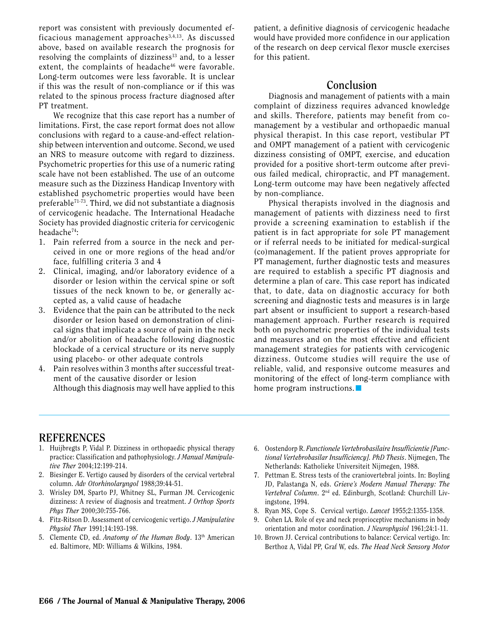report was consistent with previously documented efficacious management approaches3,4,13. As discussed above, based on available research the prognosis for resolving the complaints of dizziness<sup>13</sup> and, to a lesser extent, the complaints of headache<sup>46</sup> were favorable. Long-term outcomes were less favorable. It is unclear if this was the result of non-compliance or if this was related to the spinous process fracture diagnosed after PT treatment.

We recognize that this case report has a number of limitations. First, the case report format does not allow conclusions with regard to a cause-and-effect relationship between intervention and outcome. Second, we used an NRS to measure outcome with regard to dizziness. Psychometric properties for this use of a numeric rating scale have not been established. The use of an outcome measure such as the Dizziness Handicap Inventory with established psychometric properties would have been preferable71-73. Third, we did not substantiate a diagnosis of cervicogenic headache. The International Headache Society has provided diagnostic criteria for cervicogenic headache74:

- 1. Pain referred from a source in the neck and perceived in one or more regions of the head and/or face, fulfilling criteria 3 and 4
- 2. Clinical, imaging, and/or laboratory evidence of a disorder or lesion within the cervical spine or soft tissues of the neck known to be, or generally accepted as, a valid cause of headache
- 3. Evidence that the pain can be attributed to the neck disorder or lesion based on demonstration of clinical signs that implicate a source of pain in the neck and/or abolition of headache following diagnostic blockade of a cervical structure or its nerve supply using placebo- or other adequate controls
- 4. Pain resolves within 3 months after successful treatment of the causative disorder or lesion Although this diagnosis may well have applied to this

patient, a definitive diagnosis of cervicogenic headache would have provided more confidence in our application of the research on deep cervical flexor muscle exercises for this patient.

## **Conclusion**

Diagnosis and management of patients with a main complaint of dizziness requires advanced knowledge and skills. Therefore, patients may benefit from comanagement by a vestibular and orthopaedic manual physical therapist. In this case report, vestibular PT and OMPT management of a patient with cervicogenic dizziness consisting of OMPT, exercise, and education provided for a positive short-term outcome after previous failed medical, chiropractic, and PT management. Long-term outcome may have been negatively affected by non-compliance.

Physical therapists involved in the diagnosis and management of patients with dizziness need to first provide a screening examination to establish if the patient is in fact appropriate for sole PT management or if referral needs to be initiated for medical-surgical (co)management. If the patient proves appropriate for PT management, further diagnostic tests and measures are required to establish a specific PT diagnosis and determine a plan of care. This case report has indicated that, to date, data on diagnostic accuracy for both screening and diagnostic tests and measures is in large part absent or insufficient to support a research-based management approach. Further research is required both on psychometric properties of the individual tests and measures and on the most effective and efficient management strategies for patients with cervicogenic dizziness. Outcome studies will require the use of reliable, valid, and responsive outcome measures and monitoring of the effect of long-term compliance with home program instructions.

## **REFERENCES**

- 1. Huijbregts P, Vidal P. Dizziness in orthopaedic physical therapy practice: Classification and pathophysiology. *J Manual Manipulative Ther* 2004;12:199-214.
- 2. Biesinger E. Vertigo caused by disorders of the cervical vertebral column. *Adv Otorhinolaryngol* 1988;39:44-51.
- 3. Wrisley DM, Sparto PJ, Whitney SL, Furman JM. Cervicogenic dizziness: A review of diagnosis and treatment. *J Orthop Sports Phys Ther* 2000;30:755-766.
- 4. Fitz-Ritson D. Assessment of cervicogenic vertigo. *J Manipulative Physiol Ther* 1991;14:193-198.
- 5. Clemente CD, ed. *Anatomy of the Human Body*. 13th American ed. Baltimore, MD: Williams & Wilkins, 1984.
- 6. Oostendorp R. *Functionele Vertebrobasilaire Insufficientie [Functional Vertebrobasilar Insufficiency]. PhD Thesis*. Nijmegen, The Netherlands: Katholieke Universiteit Nijmegen, 1988.
- 7. Pettman E. Stress tests of the craniovertebral joints. In: Boyling JD, Palastanga N, eds. *Grieve's Modern Manual Therapy: The Vertebral Column*. 2nd ed. Edinburgh, Scotland: Churchill Livingstone, 1994.
- 8. Ryan MS, Cope S. Cervical vertigo. *Lancet* 1955;2:1355-1358.
- 9. Cohen LA. Role of eye and neck proprioceptive mechanisms in body orientation and motor coordination. *J Neurophysiol* 1961;24:1-11.
- 10. Brown JJ. Cervical contributions to balance: Cervical vertigo. In: Berthoz A, Vidal PP, Graf W, eds. *The Head Neck Sensory Motor*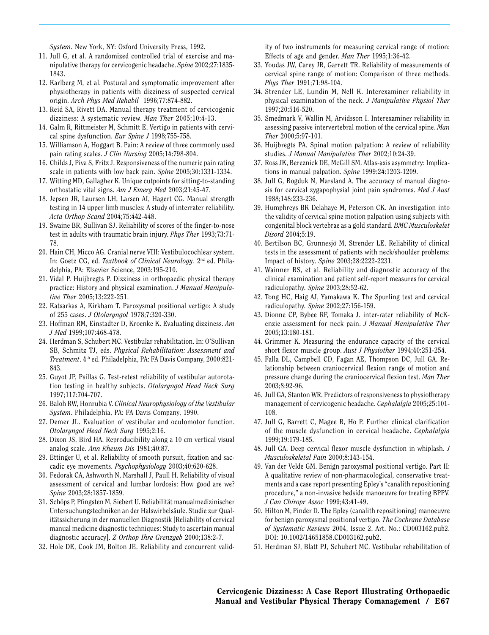*System*. New York, NY: Oxford University Press, 1992.

- 11. Jull G, et al. A randomized controlled trial of exercise and manipulative therapy for cervicogenic headache. *Spine* 2002;27:1835- 1843.
- 12. Karlberg M, et al. Postural and symptomatic improvement after physiotherapy in patients with dizziness of suspected cervical origin. *Arch Phys Med Rehabil* 1996;77:874-882.
- 13. Reid SA, Rivett DA. Manual therapy treatment of cervicogenic dizziness: A systematic review. *Man Ther* 2005;10:4-13.
- 14. Galm R, Rittmeister M, Schmitt E. Vertigo in patients with cervical spine dysfunction. *Eur Spine J* 1998;755-758.
- 15. Williamson A, Hoggart B. Pain: A review of three commonly used pain rating scales. *J Clin Nursing* 2005;14:798-804.
- 16. Childs J, Piva S, Fritz J. Responsiveness of the numeric pain rating scale in patients with low back pain. *Spine* 2005;30:1331-1334.
- 17. Witting MD, Gallagher K. Unique cutpoints for sitting-to-standing orthostatic vital signs. *Am J Emerg Med* 2003;21:45-47.
- 18. Jepsen JR, Laursen LH, Larsen AI, Hagert CG. Manual strength testing in 14 upper limb muscles: A study of interrater reliability. *Acta Orthop Scand* 2004;75:442-448.
- 19. Swaine BR, Sullivan SJ. Reliability of scores of the finger-to-nose test in adults with traumatic brain injury. *Phys Ther* 1993;73:71- 78.
- 20. Hain CH, Micco AG. Cranial nerve VIII: Vestibulocochlear system. In: Goetz CG, ed. *Textbook of Clinical Neurology*. 2nd ed. Philadelphia, PA: Elsevier Science, 2003:195-210.
- 21. Vidal P. Huijbregts P. Dizziness in orthopaedic physical therapy practice: History and physical examination. *J Manual Manipulative Ther* 2005;13:222-251.
- 22. Katsarkas A, Kirkham T. Paroxysmal positional vertigo: A study of 255 cases. *J Otolaryngol* 1978;7:320-330.
- 23. Hoffman RM, Einstadter D, Kroenke K. Evaluating dizziness. *Am J Med* 1999;107:468-478.
- 24. Herdman S, Schubert MC. Vestibular rehabilitation. In: O'Sullivan SB, Schmitz TJ, eds. *Physical Rehabilitation: Assessment and Treatment*. 4<sup>th</sup> ed. Philadelphia, PA: FA Davis Company, 2000:821-843.
- 25. Guyot JP, Psillas G. Test-retest reliability of vestibular autorotation testing in healthy subjects. *Otolaryngol Head Neck Surg*  1997;117:704-707.
- 26. Baloh RW, Honrubia V. *Clinical Neurophysiology of the Vestibular System*. Philadelphia, PA: FA Davis Company, 1990.
- 27. Demer JL. Evaluation of vestibular and oculomotor function. *Otolaryngol Head Neck Surg* 1995;2:16.
- 28. Dixon JS, Bird HA. Reproducibility along a 10 cm vertical visual analog scale. *Ann Rheum Dis* 1981;40:87.
- 29. Ettinger U, et al. Reliability of smooth pursuit, fixation and saccadic eye movements. *Psychophysiology* 2003;40:620-628.
- 30. Fedorak CA, Ashworth N, Marshall J, Paull H. Reliability of visual assessment of cervical and lumbar lordosis: How good are we? *Spine* 2003;28:1857-1859.
- 31. Schöps P, Pfingsten M, Siebert U. Reliabilität manualmedizinischer Untersuchungstechniken an der Halswirbelsäule. Studie zur Qualitätssicherung in der manuellen Diagnostik [Reliability of cervical manual medicine diagnostic techniques: Study to ascertain manual diagnostic accuracy]. *Z Orthop Ihre Grenzgeb* 2000;138:2-7.
- 32. Hole DE, Cook JM, Bolton JE. Reliability and concurrent valid-

ity of two instruments for measuring cervical range of motion: Effects of age and gender. *Man Ther* 1995;1:36-42.

- 33. Youdas JW, Carey JR, Garrett TR. Reliability of measurements of cervical spine range of motion: Comparison of three methods. *Phys Ther* 1991;71:98-104.
- 34. Strender LE, Lundin M, Nell K. Interexaminer reliability in physical examination of the neck. *J Manipulative Physiol Ther* 1997;20:516-520.
- 35. Smedmark V, Wallin M, Arvidsson I. Interexaminer reliability in assessing passive intervertebral motion of the cervical spine. *Man Ther* 2000;5:97-101.
- 36. Huijbregts PA. Spinal motion palpation: A review of reliability studies. *J Manual Manipulative Ther* 2002;10:24-39.
- 37. Ross JK, Bereznick DE, McGill SM. Atlas-axis asymmetry: Implications in manual palpation. *Spine* 1999:24:1203-1209.
- 38. Jull G, Bogduk N, Marsland A. The accuracy of manual diagnosis for cervical zygapophysial joint pain syndromes. *Med J Aust* 1988;148:233-236.
- 39. Humphreys BK Delahaye M, Peterson CK. An investigation into the validity of cervical spine motion palpation using subjects with congenital block vertebrae as a gold standard. *BMC Musculoskelet Disord* 2004;5:19.
- 40. Bertilson BC, Grunnesjö M, Strender LE. Reliability of clinical tests in the assessment of patients with neck/shoulder problems: Impact of history. *Spine* 2003;28:2222-2231.
- 41. Wainner RS, et al. Reliability and diagnostic accuracy of the clinical examination and patient self-report measures for cervical radiculopathy. *Spine* 2003;28:52-62.
- 42. Tong HC, Haig AJ, Yamakawa K. The Spurling test and cervical radiculopathy. *Spine* 2002;27:156-159.
- 43. Dionne CP, Bybee RF, Tomaka J. inter-rater reliability of McKenzie assessment for neck pain. *J Manual Manipulative Ther* 2005;13:180-181.
- 44. Grimmer K. Measuring the endurance capacity of the cervical short flexor muscle group. *Aust J Physiother* 1994;40:251-254.
- 45. Falla DL, Campbell CD, Fagan AE, Thompson DC, Jull GA. Relationship between craniocervical flexion range of motion and pressure change during the craniocervical flexion test. *Man Ther* 2003;8:92-96.
- 46. Jull GA, Stanton WR. Predictors of responsiveness to physiotherapy management of cervicogenic headache. *Cephalalgia* 2005;25:101- 108.
- 47. Jull G, Barrett C, Magee R, Ho P. Further clinical clarification of the muscle dysfunction in cervical headache. *Cephalalgia* 1999;19:179-185.
- 48. Jull GA. Deep cervical flexor muscle dysfunction in whiplash. *J Musculoskeletal Pain* 2000;8:143-154.
- 49. Van der Velde GM. Benign paroxysmal positional vertigo. Part II: A qualitative review of non-pharmacological, conservative treatments and a case report presenting Epley's "canalith repositioning procedure," a non-invasive bedside manoeuvre for treating BPPV. *J Can Chiropr Assoc* 1999;43:41-49.
- 50. Hilton M, Pinder D. The Epley (canalith repositioning) manoeuvre for benign paroxysmal positional vertigo. *The Cochrane Database of Systematic Reviews* 2004, Issue 2. Art. No.: CD003162.pub2. DOI: 10.1002/14651858.CD003162.pub2.
- 51. Herdman SJ, Blatt PJ, Schubert MC. Vestibular rehabilitation of